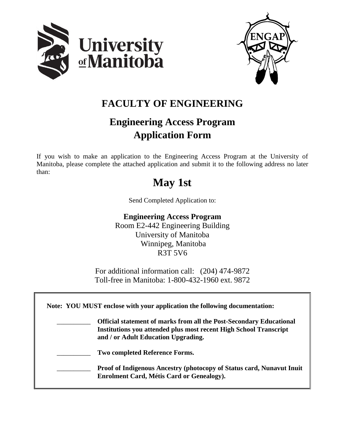



## **FACULTY OF ENGINEERING**

# **Engineering Access Program Application Form**

If you wish to make an application to the Engineering Access Program at the University of Manitoba, please complete the attached application and submit it to the following address no later than:

# **May 1st**

Send Completed Application to:

**Engineering Access Program** Room E2-442 Engineering Building University of Manitoba Winnipeg, Manitoba R3T 5V6

For additional information call: (204) 474-9872 Toll-free in Manitoba: 1-800-432-1960 ext. 9872

| <b>Official statement of marks from all the Post-Secondary Educational</b><br>Institutions you attended plus most recent High School Transcript<br>and / or Adult Education Upgrading. |
|----------------------------------------------------------------------------------------------------------------------------------------------------------------------------------------|
| <b>Two completed Reference Forms.</b>                                                                                                                                                  |
| <b>Proof of Indigenous Ancestry (photocopy of Status card, Nunavut Inuit</b><br>Enrolment Card, Métis Card or Genealogy).                                                              |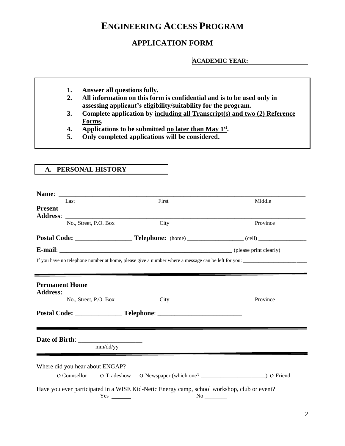## **ENGINEERING ACCESS PROGRAM**

### **APPLICATION FORM**

#### **ACADEMIC YEAR:**

- **1. Answer all questions fully.**
- **2. All information on this form is confidential and is to be used only in assessing applicant's eligibility/suitability for the program.**
- **3. Complete application by including all Transcript(s) and two (2) Reference Forms.**
- **4. Applications to be submitted no later than May 1st .**
- **5. Only completed applications will be considered.**

#### **A. PERSONAL HISTORY**

| First<br>Middle<br>Last<br><b>Present</b><br><b>Address:</b><br>City<br>No., Street, P.O. Box<br>Province<br>If you have no telephone number at home, please give a number where a message can be left for you:<br>and the control of the control of the control of the control of the control of the control of the control of the<br><b>Permanent Home</b><br>No., Street, P.O. Box<br>City<br>Province |  |  |
|-----------------------------------------------------------------------------------------------------------------------------------------------------------------------------------------------------------------------------------------------------------------------------------------------------------------------------------------------------------------------------------------------------------|--|--|
|                                                                                                                                                                                                                                                                                                                                                                                                           |  |  |
|                                                                                                                                                                                                                                                                                                                                                                                                           |  |  |
|                                                                                                                                                                                                                                                                                                                                                                                                           |  |  |
|                                                                                                                                                                                                                                                                                                                                                                                                           |  |  |
|                                                                                                                                                                                                                                                                                                                                                                                                           |  |  |
|                                                                                                                                                                                                                                                                                                                                                                                                           |  |  |
|                                                                                                                                                                                                                                                                                                                                                                                                           |  |  |
|                                                                                                                                                                                                                                                                                                                                                                                                           |  |  |
|                                                                                                                                                                                                                                                                                                                                                                                                           |  |  |
|                                                                                                                                                                                                                                                                                                                                                                                                           |  |  |
|                                                                                                                                                                                                                                                                                                                                                                                                           |  |  |
|                                                                                                                                                                                                                                                                                                                                                                                                           |  |  |
|                                                                                                                                                                                                                                                                                                                                                                                                           |  |  |
|                                                                                                                                                                                                                                                                                                                                                                                                           |  |  |
|                                                                                                                                                                                                                                                                                                                                                                                                           |  |  |
| Date of Birth:                                                                                                                                                                                                                                                                                                                                                                                            |  |  |
| mm/dd/yy                                                                                                                                                                                                                                                                                                                                                                                                  |  |  |
|                                                                                                                                                                                                                                                                                                                                                                                                           |  |  |
| Where did you hear about ENGAP?                                                                                                                                                                                                                                                                                                                                                                           |  |  |
|                                                                                                                                                                                                                                                                                                                                                                                                           |  |  |
| O Counsellor                                                                                                                                                                                                                                                                                                                                                                                              |  |  |
| Have you ever participated in a WISE Kid-Netic Energy camp, school workshop, club or event?                                                                                                                                                                                                                                                                                                               |  |  |
| $Yes \_\_$                                                                                                                                                                                                                                                                                                                                                                                                |  |  |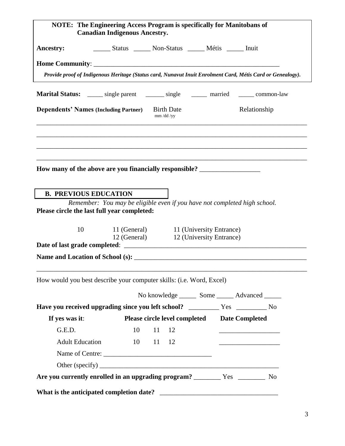| <b>Ancestry:</b><br>Provide proof of Indigenous Heritage (Status card, Nunavut Inuit Enrolment Card, Métis Card or Genealogy).<br>Marital Status: ______ single parent _______ single _______ married ______ common-law<br><b>Dependents' Names (Including Partner)</b> Birth Date<br>How many of the above are you financially responsible? _________________________ |    | mm /dd /yy | ________ Status ________ Non-Status ________ Métis _______ Inuit               | Relationship                                  |
|------------------------------------------------------------------------------------------------------------------------------------------------------------------------------------------------------------------------------------------------------------------------------------------------------------------------------------------------------------------------|----|------------|--------------------------------------------------------------------------------|-----------------------------------------------|
|                                                                                                                                                                                                                                                                                                                                                                        |    |            |                                                                                |                                               |
|                                                                                                                                                                                                                                                                                                                                                                        |    |            |                                                                                |                                               |
|                                                                                                                                                                                                                                                                                                                                                                        |    |            |                                                                                |                                               |
|                                                                                                                                                                                                                                                                                                                                                                        |    |            |                                                                                |                                               |
|                                                                                                                                                                                                                                                                                                                                                                        |    |            |                                                                                |                                               |
|                                                                                                                                                                                                                                                                                                                                                                        |    |            |                                                                                |                                               |
|                                                                                                                                                                                                                                                                                                                                                                        |    |            |                                                                                |                                               |
| <b>B. PREVIOUS EDUCATION</b>                                                                                                                                                                                                                                                                                                                                           |    |            | Remember: You may be eligible even if you have not completed high school.      |                                               |
| Please circle the last full year completed:                                                                                                                                                                                                                                                                                                                            |    |            |                                                                                |                                               |
|                                                                                                                                                                                                                                                                                                                                                                        |    |            |                                                                                |                                               |
| 10                                                                                                                                                                                                                                                                                                                                                                     |    |            | 11 (General) 11 (University Entrance)<br>12 (General) 12 (University Entrance) |                                               |
|                                                                                                                                                                                                                                                                                                                                                                        |    |            |                                                                                |                                               |
|                                                                                                                                                                                                                                                                                                                                                                        |    |            |                                                                                |                                               |
|                                                                                                                                                                                                                                                                                                                                                                        |    |            |                                                                                |                                               |
| How would you best describe your computer skills: (i.e. Word, Excel)                                                                                                                                                                                                                                                                                                   |    |            |                                                                                |                                               |
|                                                                                                                                                                                                                                                                                                                                                                        |    |            | No knowledge ________ Some _______ Advanced ______                             |                                               |
|                                                                                                                                                                                                                                                                                                                                                                        |    |            |                                                                                |                                               |
| If yes was it:                                                                                                                                                                                                                                                                                                                                                         |    |            | Please circle level completed Date Completed                                   |                                               |
| G.E.D.                                                                                                                                                                                                                                                                                                                                                                 | 10 | 11<br>12   |                                                                                |                                               |
| <b>Adult Education</b>                                                                                                                                                                                                                                                                                                                                                 |    | 10 11 12   |                                                                                | <u> 2000 - Johann John Stone, mars et al.</u> |
|                                                                                                                                                                                                                                                                                                                                                                        |    |            |                                                                                |                                               |
|                                                                                                                                                                                                                                                                                                                                                                        |    |            |                                                                                |                                               |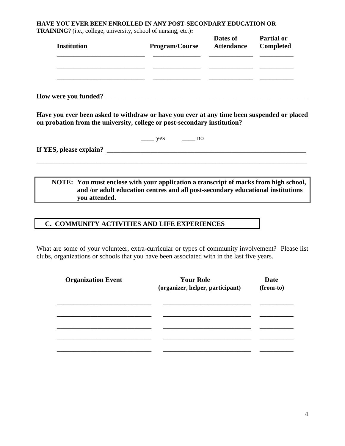#### **HAVE YOU EVER BEEN ENROLLED IN ANY POST-SECONDARY EDUCATION OR**

**TRAINING**? (i.e., college, university, school of nursing, etc.)**:**

| <b>Institution</b>   | <b>Program/Course</b> | Dates of<br><b>Attendance</b> | <b>Partial or</b><br><b>Completed</b> |
|----------------------|-----------------------|-------------------------------|---------------------------------------|
|                      |                       |                               |                                       |
| How were you funded? |                       |                               |                                       |

**Have you ever been asked to withdraw or have you ever at any time been suspended or placed on probation from the university, college or post-secondary institution?** 

 $\frac{\ }{\ }$  yes  $\frac{\ }{\ }$  no

\_\_\_\_\_\_\_\_\_\_\_\_\_\_\_\_\_\_\_\_\_\_\_\_\_\_\_\_\_\_\_\_\_\_\_\_\_\_\_\_\_\_\_\_\_\_\_\_\_\_\_\_\_\_\_\_\_\_\_\_\_\_\_\_\_\_\_\_\_\_\_\_\_\_\_\_\_\_\_\_

**If YES, please explain?** \_\_\_\_\_\_\_\_\_\_\_\_\_\_\_\_\_\_\_\_\_\_\_\_\_\_\_\_\_\_\_\_\_\_\_\_\_\_\_\_\_\_\_\_\_\_\_\_\_\_\_\_\_\_\_\_\_\_\_

#### **NOTE: You must enclose with your application a transcript of marks from high school, and /or adult education centres and all post-secondary educational institutions you attended.**

#### **C. COMMUNITY ACTIVITIES AND LIFE EXPERIENCES**

What are some of your volunteer, extra-curricular or types of community involvement? Please list clubs, organizations or schools that you have been associated with in the last five years.

| <b>Organization Event</b> | <b>Your Role</b><br>(organizer, helper, participant) | <b>Date</b><br>(from-to) |
|---------------------------|------------------------------------------------------|--------------------------|
|                           |                                                      |                          |
|                           |                                                      |                          |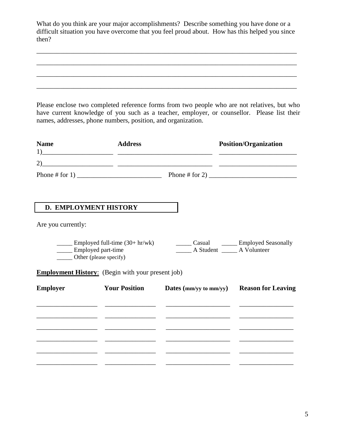What do you think are your major accomplishments? Describe something you have done or a difficult situation you have overcome that you feel proud about. How has this helped you since then?

\_\_\_\_\_\_\_\_\_\_\_\_\_\_\_\_\_\_\_\_\_\_\_\_\_\_\_\_\_\_\_\_\_\_\_\_\_\_\_\_\_\_\_\_\_\_\_\_\_\_\_\_\_\_\_\_\_\_\_\_\_\_\_\_\_\_\_\_\_\_\_\_\_\_\_\_\_

\_\_\_\_\_\_\_\_\_\_\_\_\_\_\_\_\_\_\_\_\_\_\_\_\_\_\_\_\_\_\_\_\_\_\_\_\_\_\_\_\_\_\_\_\_\_\_\_\_\_\_\_\_\_\_\_\_\_\_\_\_\_\_\_\_\_\_\_\_\_\_\_\_\_\_\_\_

\_\_\_\_\_\_\_\_\_\_\_\_\_\_\_\_\_\_\_\_\_\_\_\_\_\_\_\_\_\_\_\_\_\_\_\_\_\_\_\_\_\_\_\_\_\_\_\_\_\_\_\_\_\_\_\_\_\_\_\_\_\_\_\_\_\_\_\_\_\_\_\_\_\_\_\_\_

\_\_\_\_\_\_\_\_\_\_\_\_\_\_\_\_\_\_\_\_\_\_\_\_\_\_\_\_\_\_\_\_\_\_\_\_\_\_\_\_\_\_\_\_\_\_\_\_\_\_\_\_\_\_\_\_\_\_\_\_\_\_\_\_\_\_\_\_\_\_\_\_\_\_\_\_\_

Please enclose two completed reference forms from two people who are not relatives, but who have current knowledge of you such as a teacher, employer, or counsellor. Please list their names, addresses, phone numbers, position, and organization.

| <b>Name</b>        | <b>Address</b>                                                                                                       |                                                                                                                                                                                                                                                                                                                                                        | <b>Position/Organization</b>             |
|--------------------|----------------------------------------------------------------------------------------------------------------------|--------------------------------------------------------------------------------------------------------------------------------------------------------------------------------------------------------------------------------------------------------------------------------------------------------------------------------------------------------|------------------------------------------|
| (2)                | <u> 2000 - 2000 - 2000 - 2000 - 2000 - 2000 - 2000 - 2000 - 2000 - 2000 - 2000 - 2000 - 2000 - 2000 - 2000 - 200</u> |                                                                                                                                                                                                                                                                                                                                                        |                                          |
|                    |                                                                                                                      |                                                                                                                                                                                                                                                                                                                                                        |                                          |
|                    |                                                                                                                      |                                                                                                                                                                                                                                                                                                                                                        |                                          |
|                    | D. EMPLOYMENT HISTORY                                                                                                |                                                                                                                                                                                                                                                                                                                                                        |                                          |
| Are you currently: |                                                                                                                      |                                                                                                                                                                                                                                                                                                                                                        |                                          |
|                    | $\frac{1}{2}$ Employed full-time (30+ hr/wk)<br>_____ Employed part-time<br>Other (please specify)                   | A Student _______ A Volunteer                                                                                                                                                                                                                                                                                                                          | Casual <u>Casual</u> Employed Seasonally |
|                    | <b>Employment History:</b> (Begin with your present job)                                                             |                                                                                                                                                                                                                                                                                                                                                        |                                          |
| <b>Employer</b>    | <b>Your Position</b>                                                                                                 | Dates (mm/yy to mm/yy)                                                                                                                                                                                                                                                                                                                                 | <b>Reason for Leaving</b>                |
|                    |                                                                                                                      |                                                                                                                                                                                                                                                                                                                                                        |                                          |
|                    |                                                                                                                      |                                                                                                                                                                                                                                                                                                                                                        |                                          |
|                    |                                                                                                                      | the control of the control of the control of the control of the control of the control of the control of the control of the control of the control of the control of the control of the control of the control of the control<br><u> 1980 - Johann Barbara, martin amerikan basal dan berasal dalam basal dalam basal dalam basal dalam basal dala</u> |                                          |
|                    |                                                                                                                      |                                                                                                                                                                                                                                                                                                                                                        |                                          |
|                    |                                                                                                                      |                                                                                                                                                                                                                                                                                                                                                        |                                          |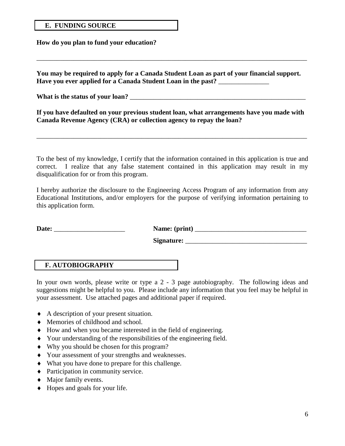#### **E. FUNDING SOURCE**

**How do you plan to fund your education?**

**You may be required to apply for a Canada Student Loan as part of your financial support. Have you ever applied for a Canada Student Loan in the past?** \_\_\_\_\_\_\_\_\_\_\_\_\_\_\_

\_\_\_\_\_\_\_\_\_\_\_\_\_\_\_\_\_\_\_\_\_\_\_\_\_\_\_\_\_\_\_\_\_\_\_\_\_\_\_\_\_\_\_\_\_\_\_\_\_\_\_\_\_\_\_\_\_\_\_\_\_\_\_\_\_\_\_\_\_\_\_\_\_\_\_\_\_\_\_\_

What is the status of your loan?

**If you have defaulted on your previous student loan, what arrangements have you made with Canada Revenue Agency (CRA) or collection agency to repay the loan?**

\_\_\_\_\_\_\_\_\_\_\_\_\_\_\_\_\_\_\_\_\_\_\_\_\_\_\_\_\_\_\_\_\_\_\_\_\_\_\_\_\_\_\_\_\_\_\_\_\_\_\_\_\_\_\_\_\_\_\_\_\_\_\_\_\_\_\_\_\_\_\_\_\_\_\_\_\_\_\_\_

To the best of my knowledge, I certify that the information contained in this application is true and correct. I realize that any false statement contained in this application may result in my disqualification for or from this program.

I hereby authorize the disclosure to the Engineering Access Program of any information from any Educational Institutions, and/or employers for the purpose of verifying information pertaining to this application form.

**Date:** \_\_\_\_\_\_\_\_\_\_\_\_\_\_\_\_\_\_\_\_\_ **Name: (print)** \_\_\_\_\_\_\_\_\_\_\_\_\_\_\_\_\_\_\_\_\_\_\_\_\_\_\_\_\_\_\_\_\_

**Signature:** \_\_\_\_\_\_\_\_\_\_\_\_\_\_\_\_\_\_\_\_\_\_\_\_\_\_\_\_\_\_\_\_\_\_\_\_

#### **F. AUTOBIOGRAPHY**

In your own words, please write or type a 2 - 3 page autobiography. The following ideas and suggestions might be helpful to you. Please include any information that you feel may be helpful in your assessment. Use attached pages and additional paper if required.

- A description of your present situation.
- Memories of childhood and school.
- How and when you became interested in the field of engineering.
- Your understanding of the responsibilities of the engineering field.
- Why you should be chosen for this program?
- Your assessment of your strengths and weaknesses.
- What you have done to prepare for this challenge.
- Participation in community service.
- Major family events.
- Hopes and goals for your life.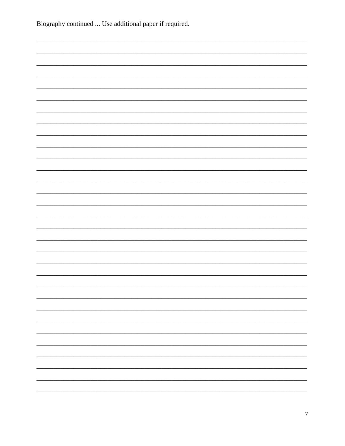Biography continued ... Use additional paper if required.  $\overline{\phantom{a}}$  $\sim$  $\overline{\phantom{a}}$  $\overline{\phantom{a}}$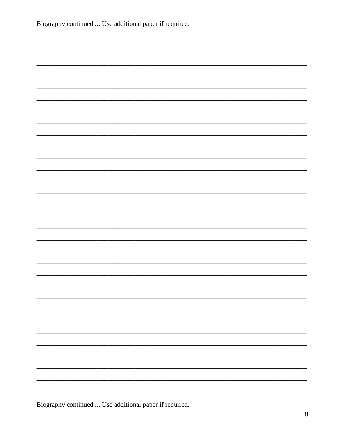Biography continued ... Use additional paper if required. ÷. 

Biography continued ... Use additional paper if required.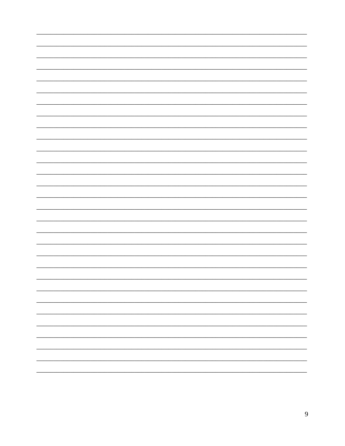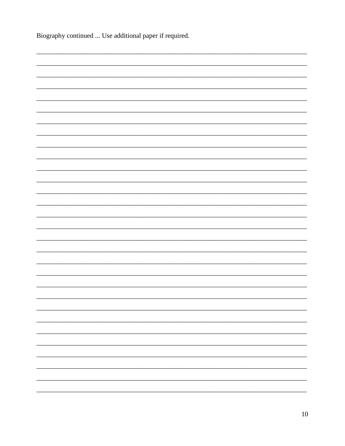| Biography continued  Use additional paper if required. |  |  |  |
|--------------------------------------------------------|--|--|--|
|                                                        |  |  |  |
|                                                        |  |  |  |
|                                                        |  |  |  |
|                                                        |  |  |  |
|                                                        |  |  |  |
|                                                        |  |  |  |
|                                                        |  |  |  |
|                                                        |  |  |  |
|                                                        |  |  |  |
|                                                        |  |  |  |
|                                                        |  |  |  |
|                                                        |  |  |  |
|                                                        |  |  |  |
|                                                        |  |  |  |
|                                                        |  |  |  |
|                                                        |  |  |  |
|                                                        |  |  |  |
|                                                        |  |  |  |
|                                                        |  |  |  |
|                                                        |  |  |  |
|                                                        |  |  |  |
|                                                        |  |  |  |
|                                                        |  |  |  |
|                                                        |  |  |  |
|                                                        |  |  |  |
|                                                        |  |  |  |
|                                                        |  |  |  |
|                                                        |  |  |  |
|                                                        |  |  |  |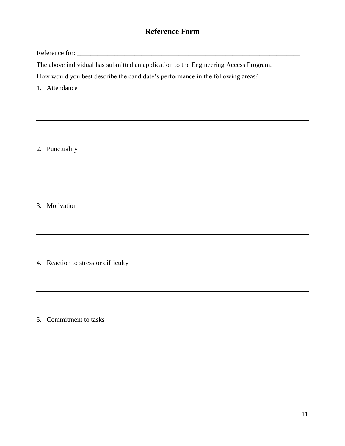## **Reference Form**

<u> 1989 - Johann Stoff, amerikansk politiker (\* 1908)</u>

,我们也不会有什么。""我们的人,我们也不会有什么?""我们的人,我们也不会有什么?""我们的人,我们也不会有什么?""我们的人,我们也不会有什么?""我们的人

Reference for: \_\_\_\_\_\_\_\_\_\_\_\_\_\_\_\_\_\_\_\_\_\_\_\_\_\_\_\_\_\_\_\_\_\_\_\_\_\_\_\_\_\_\_\_\_\_\_\_\_\_\_\_\_\_\_\_\_\_\_\_\_\_\_\_\_\_

The above individual has submitted an application to the Engineering Access Program.

How would you best describe the candidate's performance in the following areas?

1. Attendance

#### 2. Punctuality

#### 3. Motivation

4. Reaction to stress or difficulty

#### 5. Commitment to tasks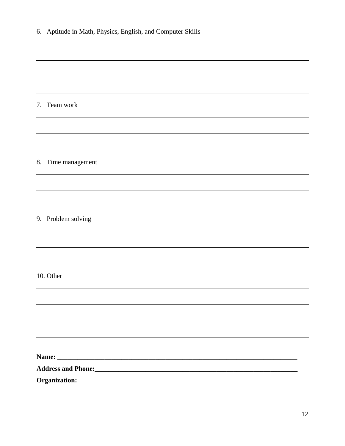|    | 6. Aptitude in Math, Physics, English, and Computer Skills |
|----|------------------------------------------------------------|
|    |                                                            |
|    |                                                            |
|    |                                                            |
|    | 7. Team work                                               |
|    |                                                            |
|    |                                                            |
| 8. | Time management                                            |
|    |                                                            |
|    |                                                            |
|    | 9. Problem solving                                         |
|    |                                                            |
|    |                                                            |
|    | 10. Other                                                  |
|    |                                                            |
|    |                                                            |
|    |                                                            |
|    |                                                            |
|    |                                                            |
|    |                                                            |
|    | Organization:                                              |

12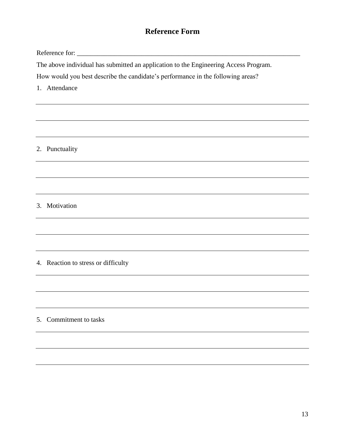## **Reference Form**

<u> 1989 - Johann Stoff, amerikansk politiker (\* 1908)</u>

,我们也不会有什么。""我们的人,我们也不会有什么?""我们的人,我们也不会有什么?""我们的人,我们也不会有什么?""我们的人,我们也不会有什么?""我们的人

Reference for: \_\_\_\_\_\_\_\_\_\_\_\_\_\_\_\_\_\_\_\_\_\_\_\_\_\_\_\_\_\_\_\_\_\_\_\_\_\_\_\_\_\_\_\_\_\_\_\_\_\_\_\_\_\_\_\_\_\_\_\_\_\_\_\_\_\_

The above individual has submitted an application to the Engineering Access Program.

How would you best describe the candidate's performance in the following areas?

1. Attendance

#### 2. Punctuality

#### 3. Motivation

4. Reaction to stress or difficulty

#### 5. Commitment to tasks